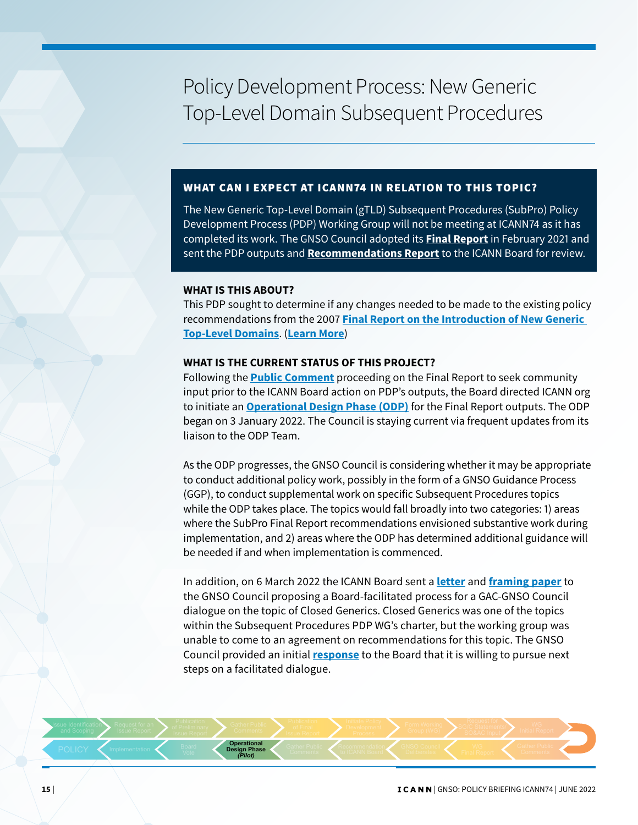# Policy Development Process: New Generic Top-Level Domain Subsequent Procedures

# WHAT CAN I EXPECT AT ICANN74 IN RELATION TO THIS TOPIC?

The New Generic Top-Level Domain (gTLD) Subsequent Procedures (SubPro) Policy Development Process (PDP) Working Group will not be meeting at ICANN74 as it has completed its work. The GNSO Council adopted its **[Final Report](https://gnso.icann.org/sites/default/files/file/field-file-attach/final-report-newgtld-subsequent-procedures-pdp-02feb21-en.pdf)** in February 2021 and sent the PDP outputs and **[Recommendations Report](https://gnso.icann.org/sites/default/files/policy/2021/presentation/draft-2council-recommendations-new-gtld-subsequent-procedures-pdf-24mar21-en.pdf)** to the ICANN Board for review.

## **WHAT IS THIS ABOUT?**

This PDP sought to determine if any changes needed to be made to the existing policy recommendations from the 2007 **[Final Report on the Introduction of New Generic](https://gnso.icann.org/en/issues/new-gtlds/pdp-dec05-fr-parta-08aug07.htm)  [Top-Level Domains](https://gnso.icann.org/en/issues/new-gtlds/pdp-dec05-fr-parta-08aug07.htm)**. (**[Learn More](https://gnso.icann.org/en/group-activities/active/new-gtld-subsequent-procedures)**)

## **WHAT IS THE CURRENT STATUS OF THIS PROJECT?**

Following the **[Public Comment](https://www.icann.org/en/public-comment/proceeding/gnso-new-gtld-subsequent-procedures-final-outputs-for-icann-board-consideration-22-04-2021)** proceeding on the Final Report to seek community input prior to the ICANN Board action on PDP's outputs, the Board directed ICANN org to initiate an **[Operational Design Phase \(ODP\)](https://www.icann.org/subpro-odp)** for the Final Report outputs. The ODP began on 3 January 2022. The Council is staying current via frequent updates from its liaison to the ODP Team.

As the ODP progresses, the GNSO Council is considering whether it may be appropriate to conduct additional policy work, possibly in the form of a GNSO Guidance Process (GGP), to conduct supplemental work on specific Subsequent Procedures topics while the ODP takes place. The topics would fall broadly into two categories: 1) areas where the SubPro Final Report recommendations envisioned substantive work during implementation, and 2) areas where the ODP has determined additional guidance will be needed if and when implementation is commenced.

In addition, on 6 March 2022 the ICANN Board sent a **[letter](https://gnso.icann.org/sites/default/files/policy/2022/correspondence/botterman-to-ismail-et-al-06mar22-en.pdf)** and **[framing paper](https://gnso.icann.org/sites/default/files/policy/2022/correspondence/gnso-council-et-al-to-fouqaurt-08mar22-en.pdf)** to the GNSO Council proposing a Board-facilitated process for a GAC-GNSO Council dialogue on the topic of Closed Generics. Closed Generics was one of the topics within the Subsequent Procedures PDP WG's charter, but the working group was unable to come to an agreement on recommendations for this topic. The GNSO Council provided an initial **[response](https://gnso.icann.org/sites/default/files/policy/2022/correspondence/fouquart-to-botterman-27apr22-closed-generics.pdf)** to the Board that it is willing to pursue next steps on a facilitated dialogue.